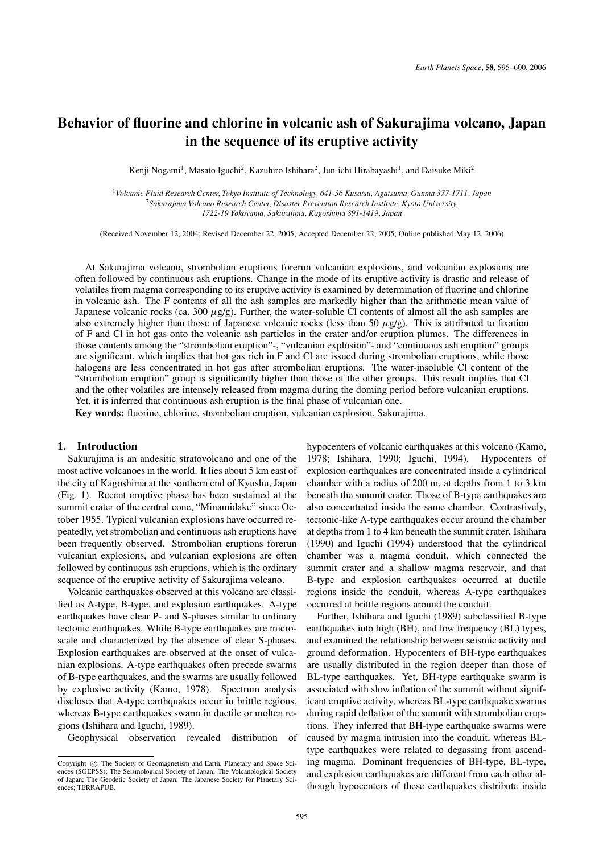# **Behavior of fluorine and chlorine in volcanic ash of Sakurajima volcano, Japan in the sequence of its eruptive activity**

Kenji Nogami<sup>1</sup>, Masato Iguchi<sup>2</sup>, Kazuhiro Ishihara<sup>2</sup>, Jun-ichi Hirabayashi<sup>1</sup>, and Daisuke Miki<sup>2</sup>

<sup>1</sup>*Volcanic Fluid Research Center, Tokyo Institute of Technology, 641-36 Kusatsu, Agatsuma, Gunma 377-1711, Japan* <sup>2</sup>*Sakurajima Volcano Research Center, Disaster Prevention Research Institute, Kyoto University, 1722-19 Yokoyama, Sakurajima, Kagoshima 891-1419, Japan*

(Received November 12, 2004; Revised December 22, 2005; Accepted December 22, 2005; Online published May 12, 2006)

At Sakurajima volcano, strombolian eruptions forerun vulcanian explosions, and volcanian explosions are often followed by continuous ash eruptions. Change in the mode of its eruptive activity is drastic and release of volatiles from magma corresponding to its eruptive activity is examined by determination of fluorine and chlorine in volcanic ash. The F contents of all the ash samples are markedly higher than the arithmetic mean value of Japanese volcanic rocks (ca. 300  $\mu$ g/g). Further, the water-soluble Cl contents of almost all the ash samples are also extremely higher than those of Japanese volcanic rocks (less than 50  $\mu$ g/g). This is attributed to fixation of F and Cl in hot gas onto the volcanic ash particles in the crater and/or eruption plumes. The differences in those contents among the "strombolian eruption"-, "vulcanian explosion"- and "continuous ash eruption" groups are significant, which implies that hot gas rich in F and Cl are issued during strombolian eruptions, while those halogens are less concentrated in hot gas after strombolian eruptions. The water-insoluble Cl content of the "strombolian eruption" group is significantly higher than those of the other groups. This result implies that Cl and the other volatiles are intensely released from magma during the doming period before vulcanian eruptions. Yet, it is inferred that continuous ash eruption is the final phase of vulcanian one.

**Key words:** fluorine, chlorine, strombolian eruption, vulcanian explosion, Sakurajima.

# **1. Introduction**

Sakurajima is an andesitic stratovolcano and one of the most active volcanoes in the world. It lies about 5 km east of the city of Kagoshima at the southern end of Kyushu, Japan (Fig. 1). Recent eruptive phase has been sustained at the summit crater of the central cone, "Minamidake" since October 1955. Typical vulcanian explosions have occurred repeatedly, yet strombolian and continuous ash eruptions have been frequently observed. Strombolian eruptions forerun vulcanian explosions, and vulcanian explosions are often followed by continuous ash eruptions, which is the ordinary sequence of the eruptive activity of Sakurajima volcano.

Volcanic earthquakes observed at this volcano are classified as A-type, B-type, and explosion earthquakes. A-type earthquakes have clear P- and S-phases similar to ordinary tectonic earthquakes. While B-type earthquakes are microscale and characterized by the absence of clear S-phases. Explosion earthquakes are observed at the onset of vulcanian explosions. A-type earthquakes often precede swarms of B-type earthquakes, and the swarms are usually followed by explosive activity (Kamo, 1978). Spectrum analysis discloses that A-type earthquakes occur in brittle regions, whereas B-type earthquakes swarm in ductile or molten regions (Ishihara and Iguchi, 1989).

Geophysical observation revealed distribution of

hypocenters of volcanic earthquakes at this volcano (Kamo, 1978; Ishihara, 1990; Iguchi, 1994). Hypocenters of explosion earthquakes are concentrated inside a cylindrical chamber with a radius of 200 m, at depths from 1 to 3 km beneath the summit crater. Those of B-type earthquakes are also concentrated inside the same chamber. Contrastively, tectonic-like A-type earthquakes occur around the chamber at depths from 1 to 4 km beneath the summit crater. Ishihara (1990) and Iguchi (1994) understood that the cylindrical chamber was a magma conduit, which connected the summit crater and a shallow magma reservoir, and that B-type and explosion earthquakes occurred at ductile regions inside the conduit, whereas A-type earthquakes occurred at brittle regions around the conduit.

Further, Ishihara and Iguchi (1989) subclassified B-type earthquakes into high (BH), and low frequency (BL) types, and examined the relationship between seismic activity and ground deformation. Hypocenters of BH-type earthquakes are usually distributed in the region deeper than those of BL-type earthquakes. Yet, BH-type earthquake swarm is associated with slow inflation of the summit without significant eruptive activity, whereas BL-type earthquake swarms during rapid deflation of the summit with strombolian eruptions. They inferred that BH-type earthquake swarms were caused by magma intrusion into the conduit, whereas BLtype earthquakes were related to degassing from ascending magma. Dominant frequencies of BH-type, BL-type, and explosion earthquakes are different from each other although hypocenters of these earthquakes distribute inside

Copyright  $\odot$  The Society of Geomagnetism and Earth, Planetary and Space Sciences (SGEPSS); The Seismological Society of Japan; The Volcanological Society of Japan; The Geodetic Society of Japan; The Japanese Society for Planetary Sciences; TERRAPUB.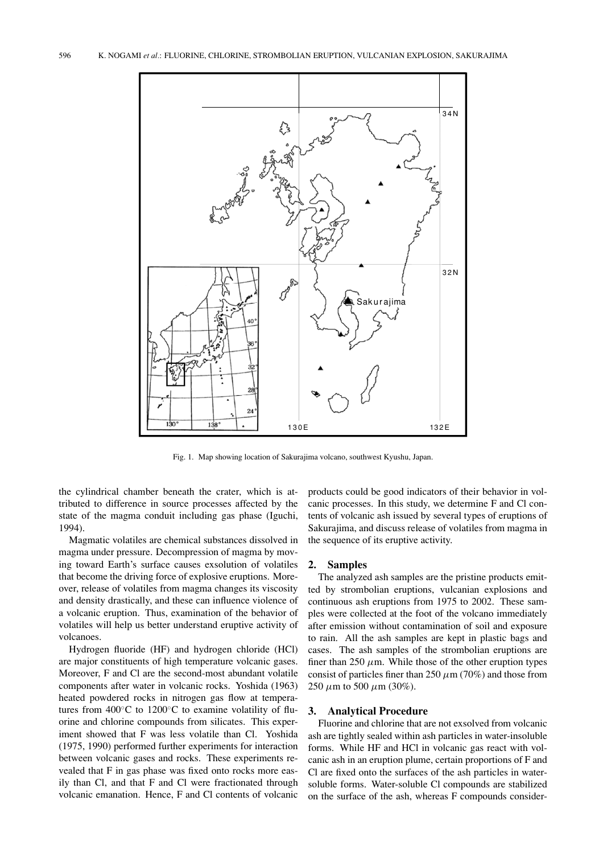

Fig. 1. Map showing location of Sakurajima volcano, southwest Kyushu, Japan.

the cylindrical chamber beneath the crater, which is attributed to difference in source processes affected by the state of the magma conduit including gas phase (Iguchi, 1994).

Magmatic volatiles are chemical substances dissolved in magma under pressure. Decompression of magma by moving toward Earth's surface causes exsolution of volatiles that become the driving force of explosive eruptions. Moreover, release of volatiles from magma changes its viscosity and density drastically, and these can influence violence of a volcanic eruption. Thus, examination of the behavior of volatiles will help us better understand eruptive activity of volcanoes.

Hydrogen fluoride (HF) and hydrogen chloride (HCl) are major constituents of high temperature volcanic gases. Moreover, F and Cl are the second-most abundant volatile components after water in volcanic rocks. Yoshida (1963) heated powdered rocks in nitrogen gas flow at temperatures from 400◦C to 1200◦C to examine volatility of fluorine and chlorine compounds from silicates. This experiment showed that F was less volatile than Cl. Yoshida (1975, 1990) performed further experiments for interaction between volcanic gases and rocks. These experiments revealed that F in gas phase was fixed onto rocks more easily than Cl, and that F and Cl were fractionated through volcanic emanation. Hence, F and Cl contents of volcanic products could be good indicators of their behavior in volcanic processes. In this study, we determine F and Cl contents of volcanic ash issued by several types of eruptions of Sakurajima, and discuss release of volatiles from magma in the sequence of its eruptive activity.

#### **2. Samples**

The analyzed ash samples are the pristine products emitted by strombolian eruptions, vulcanian explosions and continuous ash eruptions from 1975 to 2002. These samples were collected at the foot of the volcano immediately after emission without contamination of soil and exposure to rain. All the ash samples are kept in plastic bags and cases. The ash samples of the strombolian eruptions are finer than 250  $\mu$ m. While those of the other eruption types consist of particles finer than 250  $\mu$ m (70%) and those from 250  $\mu$ m to 500  $\mu$ m (30%).

## **3. Analytical Procedure**

Fluorine and chlorine that are not exsolved from volcanic ash are tightly sealed within ash particles in water-insoluble forms. While HF and HCl in volcanic gas react with volcanic ash in an eruption plume, certain proportions of F and Cl are fixed onto the surfaces of the ash particles in watersoluble forms. Water-soluble Cl compounds are stabilized on the surface of the ash, whereas F compounds consider-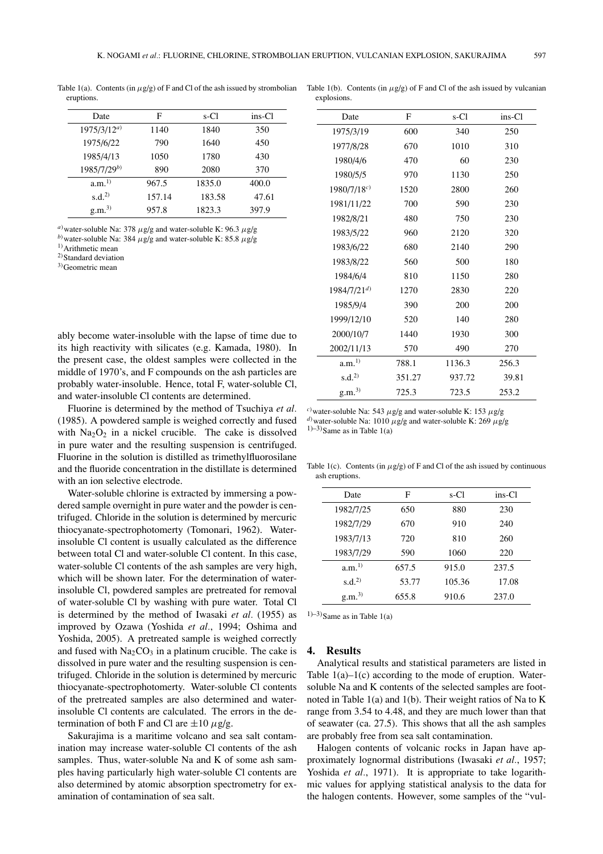explosions.

Table 1(a). Contents (in  $\mu$ g/g) of F and Cl of the ash issued by strombolian eruptions.

| Date              | F      | s-Cl   | ins-Cl |
|-------------------|--------|--------|--------|
| $1975/3/12^{a}$   | 1140   | 1840   | 350    |
| 1975/6/22         | 790    | 1640   | 450    |
| 1985/4/13         | 1050   | 1780   | 430    |
| $1985/7/29^{b}$   | 890    | 2080   | 370    |
| a.m. <sup>1</sup> | 967.5  | 1835.0 | 400.0  |
| s.d. <sup>2</sup> | 157.14 | 183.58 | 47.61  |
| g.m. <sup>3</sup> | 957.8  | 1823.3 | 397.9  |

<sup>*a*)</sup> water-soluble Na: 378 μg/g and water-soluble K: 96.3 μg/g

*b*) water-soluble Na: 384 μg/g and water-soluble K: 85.8 μg/g

1) Arithmetic mean

2) Standard deviation

3) Geometric mean

ably become water-insoluble with the lapse of time due to its high reactivity with silicates (e.g. Kamada, 1980). In the present case, the oldest samples were collected in the middle of 1970's, and F compounds on the ash particles are probably water-insoluble. Hence, total F, water-soluble Cl, and water-insoluble Cl contents are determined.

Fluorine is determined by the method of Tsuchiya *et al.* (1985). A powdered sample is weighed correctly and fused with  $Na<sub>2</sub>O<sub>2</sub>$  in a nickel crucible. The cake is dissolved in pure water and the resulting suspension is centrifuged. Fluorine in the solution is distilled as trimethylfluorosilane and the fluoride concentration in the distillate is determined with an ion selective electrode.

Water-soluble chlorine is extracted by immersing a powdered sample overnight in pure water and the powder is centrifuged. Chloride in the solution is determined by mercuric thiocyanate-spectrophotomerty (Tomonari, 1962). Waterinsoluble Cl content is usually calculated as the difference between total Cl and water-soluble Cl content. In this case, water-soluble Cl contents of the ash samples are very high, which will be shown later. For the determination of waterinsoluble Cl, powdered samples are pretreated for removal of water-soluble Cl by washing with pure water. Total Cl is determined by the method of Iwasaki *et al.* (1955) as improved by Ozawa (Yoshida *et al.*, 1994; Oshima and Yoshida, 2005). A pretreated sample is weighed correctly and fused with  $Na<sub>2</sub>CO<sub>3</sub>$  in a platinum crucible. The cake is dissolved in pure water and the resulting suspension is centrifuged. Chloride in the solution is determined by mercuric thiocyanate-spectrophotomerty. Water-soluble Cl contents of the pretreated samples are also determined and waterinsoluble Cl contents are calculated. The errors in the determination of both F and Cl are  $\pm 10 \mu$ g/g.

Sakurajima is a maritime volcano and sea salt contamination may increase water-soluble Cl contents of the ash samples. Thus, water-soluble Na and K of some ash samples having particularly high water-soluble Cl contents are also determined by atomic absorption spectrometry for examination of contamination of sea salt.

| Date                               | F      | s-Cl   | ins-Cl |
|------------------------------------|--------|--------|--------|
| 1975/3/19                          | 600    | 340    | 250    |
| 1977/8/28                          | 670    | 1010   | 310    |
| 1980/4/6                           | 470    | 60     | 230    |
| 1980/5/5                           | 970    | 1130   | 250    |
| $1980/7/18^{c}$                    | 1520   | 2800   | 260    |
| 1981/11/22                         | 700    | 590    | 230    |
| 1982/8/21                          | 480    | 750    | 230    |
| 1983/5/22                          | 960    | 2120   | 320    |
| 1983/6/22<br>1983/8/22<br>1984/6/4 | 680    | 2140   | 290    |
|                                    | 560    | 500    | 180    |
|                                    | 810    | 1150   | 280    |
| $1984/7/21^{d}$                    | 1270   | 2830   | 220    |
| 1985/9/4                           | 390    | 200    | 200    |
| 1999/12/10                         | 520    | 140    | 280    |
| 2000/10/7                          | 1440   | 1930   | 300    |
| 2002/11/13                         | 570    | 490    | 270    |
| a.m. <sup>1</sup>                  | 788.1  | 1136.3 | 256.3  |
| s.d. <sup>2</sup>                  | 351.27 | 937.72 | 39.81  |
| g.m. <sup>3</sup>                  | 725.3  | 723.5  | 253.2  |

Table 1(b). Contents (in  $\mu$ g/g) of F and Cl of the ash issued by vulcanian

*c*) water-soluble Na: 543 μg/g and water-soluble K: 153 μg/g <sup>*d*)</sup> water-soluble Na: 1010 μg/g and water-soluble K: 269 μg/g  $1)-3$ )Same as in Table 1(a)

Table 1(c). Contents (in  $\mu$ g/g) of F and Cl of the ash issued by continuous ash eruptions.

| Date              | F     | s-Cl   | ins-Cl |
|-------------------|-------|--------|--------|
| 1982/7/25         | 650   | 880    | 230    |
| 1982/7/29         | 670   | 910    | 240    |
| 1983/7/13         | 720   | 810    | 260    |
| 1983/7/29         | 590   | 1060   | 220    |
| a.m. <sup>1</sup> | 657.5 | 915.0  | 237.5  |
| s.d. <sup>2</sup> | 53.77 | 105.36 | 17.08  |
| g.m. <sup>3</sup> | 655.8 | 910.6  | 237.0  |

 $1)-3$ )Same as in Table 1(a)

## **4. Results**

Analytical results and statistical parameters are listed in Table  $1(a)$ – $1(c)$  according to the mode of eruption. Watersoluble Na and K contents of the selected samples are footnoted in Table 1(a) and 1(b). Their weight ratios of Na to K range from 3.54 to 4.48, and they are much lower than that of seawater (ca. 27.5). This shows that all the ash samples are probably free from sea salt contamination.

Halogen contents of volcanic rocks in Japan have approximately lognormal distributions (Iwasaki *et al.*, 1957; Yoshida et al., 1971). It is appropriate to take logarithmic values for applying statistical analysis to the data for the halogen contents. However, some samples of the "vul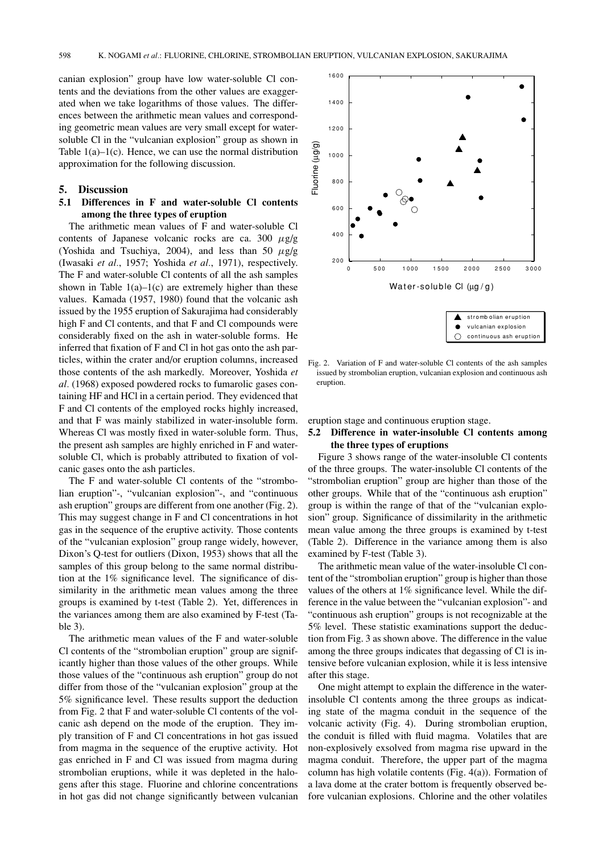canian explosion" group have low water-soluble Cl contents and the deviations from the other values are exaggerated when we take logarithms of those values. The differences between the arithmetic mean values and corresponding geometric mean values are very small except for watersoluble Cl in the "vulcanian explosion" group as shown in Table  $1(a)$ – $1(c)$ . Hence, we can use the normal distribution approximation for the following discussion.

## **5. Discussion**

# **5.1 Differences in F and water-soluble Cl contents among the three types of eruption**

The arithmetic mean values of F and water-soluble Cl contents of Japanese volcanic rocks are ca. 300  $\mu$ g/g (Yoshida and Tsuchiya, 2004), and less than 50  $\mu$ g/g (Iwasaki *et al.*, 1957; Yoshida *et al.*, 1971), respectively. The F and water-soluble Cl contents of all the ash samples shown in Table  $1(a)$ – $1(c)$  are extremely higher than these values. Kamada (1957, 1980) found that the volcanic ash issued by the 1955 eruption of Sakurajima had considerably high F and Cl contents, and that F and Cl compounds were considerably fixed on the ash in water-soluble forms. He inferred that fixation of F and Cl in hot gas onto the ash particles, within the crater and/or eruption columns, increased those contents of the ash markedly. Moreover, Yoshida *et al.* (1968) exposed powdered rocks to fumarolic gases containing HF and HCl in a certain period. They evidenced that F and Cl contents of the employed rocks highly increased, and that F was mainly stabilized in water-insoluble form. Whereas Cl was mostly fixed in water-soluble form. Thus, the present ash samples are highly enriched in F and watersoluble Cl, which is probably attributed to fixation of volcanic gases onto the ash particles.

The F and water-soluble Cl contents of the "strombolian eruption"-, "vulcanian explosion"-, and "continuous ash eruption" groups are different from one another (Fig. 2). This may suggest change in F and Cl concentrations in hot gas in the sequence of the eruptive activity. Those contents of the "vulcanian explosion" group range widely, however, Dixon's Q-test for outliers (Dixon, 1953) shows that all the samples of this group belong to the same normal distribution at the 1% significance level. The significance of dissimilarity in the arithmetic mean values among the three groups is examined by t-test (Table 2). Yet, differences in the variances among them are also examined by F-test (Table 3).

The arithmetic mean values of the F and water-soluble Cl contents of the "strombolian eruption" group are significantly higher than those values of the other groups. While those values of the "continuous ash eruption" group do not differ from those of the "vulcanian explosion" group at the 5% significance level. These results support the deduction from Fig. 2 that F and water-soluble Cl contents of the volcanic ash depend on the mode of the eruption. They imply transition of F and Cl concentrations in hot gas issued from magma in the sequence of the eruptive activity. Hot gas enriched in F and Cl was issued from magma during strombolian eruptions, while it was depleted in the halogens after this stage. Fluorine and chlorine concentrations in hot gas did not change significantly between vulcanian



Fig. 2. Variation of F and water-soluble Cl contents of the ash samples issued by strombolian eruption, vulcanian explosion and continuous ash eruption.

eruption stage and continuous eruption stage.

# **5.2 Difference in water-insoluble Cl contents among the three types of eruptions**

Figure 3 shows range of the water-insoluble Cl contents of the three groups. The water-insoluble Cl contents of the "strombolian eruption" group are higher than those of the other groups. While that of the "continuous ash eruption" group is within the range of that of the "vulcanian explosion" group. Significance of dissimilarity in the arithmetic mean value among the three groups is examined by t-test (Table 2). Difference in the variance among them is also examined by F-test (Table 3).

The arithmetic mean value of the water-insoluble Cl content of the "strombolian eruption" group is higher than those values of the others at 1% significance level. While the difference in the value between the "vulcanian explosion"- and "continuous ash eruption" groups is not recognizable at the 5% level. These statistic examinations support the deduction from Fig. 3 as shown above. The difference in the value among the three groups indicates that degassing of Cl is intensive before vulcanian explosion, while it is less intensive after this stage.

One might attempt to explain the difference in the waterinsoluble Cl contents among the three groups as indicating state of the magma conduit in the sequence of the volcanic activity (Fig. 4). During strombolian eruption, the conduit is filled with fluid magma. Volatiles that are non-explosively exsolved from magma rise upward in the magma conduit. Therefore, the upper part of the magma column has high volatile contents (Fig. 4(a)). Formation of a lava dome at the crater bottom is frequently observed before vulcanian explosions. Chlorine and the other volatiles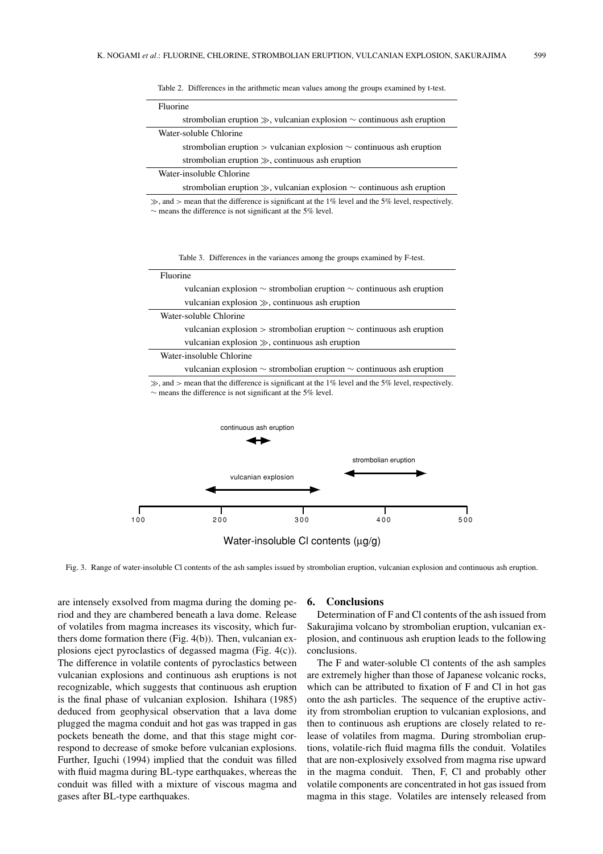| Fluorine                                                        |                                                                                                         |
|-----------------------------------------------------------------|---------------------------------------------------------------------------------------------------------|
|                                                                 | strombolian eruption $\gg$ , vulcanian explosion $\sim$ continuous ash eruption                         |
| Water-soluble Chlorine                                          |                                                                                                         |
|                                                                 | strombolian eruption $>$ vulcanian explosion $\sim$ continuous ash eruption                             |
|                                                                 | strombolian eruption $\gg$ , continuous ash eruption                                                    |
| Water-insoluble Chlorine                                        |                                                                                                         |
|                                                                 | strombolian eruption $\gg$ , vulcanian explosion $\sim$ continuous ash eruption                         |
| $\sim$ means the difference is not significant at the 5% level. | $\gg$ , and $>$ mean that the difference is significant at the 1% level and the 5% level, respectively. |

Table 2. Differences in the arithmetic mean values among the groups examined by t-test.

Table 3. Differences in the variances among the groups examined by F-test.

| Fluorine |                          |                                                                 |                                                                                                         |     |
|----------|--------------------------|-----------------------------------------------------------------|---------------------------------------------------------------------------------------------------------|-----|
|          |                          |                                                                 | vulcanian explosion $\sim$ strombolian eruption $\sim$ continuous ash eruption                          |     |
|          |                          | vulcanian explosion $\gg$ , continuous ash eruption             |                                                                                                         |     |
|          | Water-soluble Chlorine   |                                                                 |                                                                                                         |     |
|          |                          |                                                                 | vulcanian explosion $>$ strombolian eruption $\sim$ continuous ash eruption                             |     |
|          |                          | vulcanian explosion $\gg$ , continuous ash eruption             |                                                                                                         |     |
|          | Water-insoluble Chlorine |                                                                 |                                                                                                         |     |
|          |                          |                                                                 | vulcanian explosion $\sim$ strombolian eruption $\sim$ continuous ash eruption                          |     |
|          | continuous ash eruption  | $\sim$ means the difference is not significant at the 5% level. | $\gg$ , and $>$ mean that the difference is significant at the 1% level and the 5% level, respectively. |     |
|          |                          |                                                                 | strombolian eruption                                                                                    |     |
|          |                          | vulcanian explosion                                             |                                                                                                         |     |
| 100      | 200                      | 300                                                             | 400                                                                                                     | 500 |
|          |                          | Water-insoluble CI contents $(\mu g/g)$                         |                                                                                                         |     |

Fig. 3. Range of water-insoluble Cl contents of the ash samples issued by strombolian eruption, vulcanian explosion and continuous ash eruption.

are intensely exsolved from magma during the doming period and they are chambered beneath a lava dome. Release of volatiles from magma increases its viscosity, which furthers dome formation there (Fig. 4(b)). Then, vulcanian explosions eject pyroclastics of degassed magma (Fig. 4(c)). The difference in volatile contents of pyroclastics between vulcanian explosions and continuous ash eruptions is not recognizable, which suggests that continuous ash eruption is the final phase of vulcanian explosion. Ishihara (1985) deduced from geophysical observation that a lava dome plugged the magma conduit and hot gas was trapped in gas pockets beneath the dome, and that this stage might correspond to decrease of smoke before vulcanian explosions. Further, Iguchi (1994) implied that the conduit was filled with fluid magma during BL-type earthquakes, whereas the conduit was filled with a mixture of viscous magma and gases after BL-type earthquakes.

#### **6. Conclusions**

Determination of F and Cl contents of the ash issued from Sakurajima volcano by strombolian eruption, vulcanian explosion, and continuous ash eruption leads to the following conclusions.

The F and water-soluble Cl contents of the ash samples are extremely higher than those of Japanese volcanic rocks, which can be attributed to fixation of F and Cl in hot gas onto the ash particles. The sequence of the eruptive activity from strombolian eruption to vulcanian explosions, and then to continuous ash eruptions are closely related to release of volatiles from magma. During strombolian eruptions, volatile-rich fluid magma fills the conduit. Volatiles that are non-explosively exsolved from magma rise upward in the magma conduit. Then, F, Cl and probably other volatile components are concentrated in hot gas issued from magma in this stage. Volatiles are intensely released from